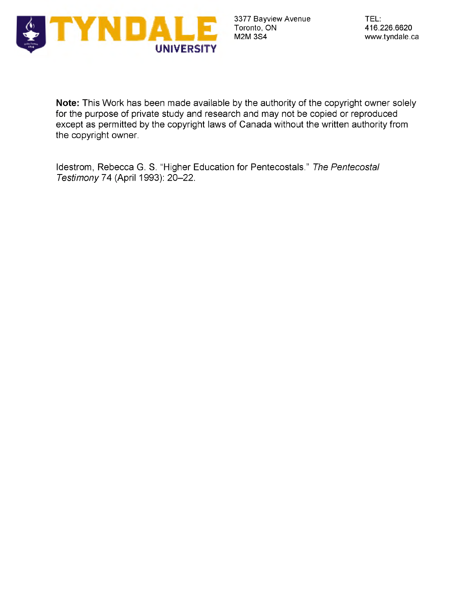

**Note:** This Work has been made available by the authority of the copyright owner solely for the purpose of private study and research and may not be copied or reproduced except as permitted by the copyright laws of Canada without the written authority from the copyright owner.

Idestrom, Rebecca G. S. "Higher Education for Pentecostals." *The Pentecostal Testimony* 74 (April 1993): 20-22.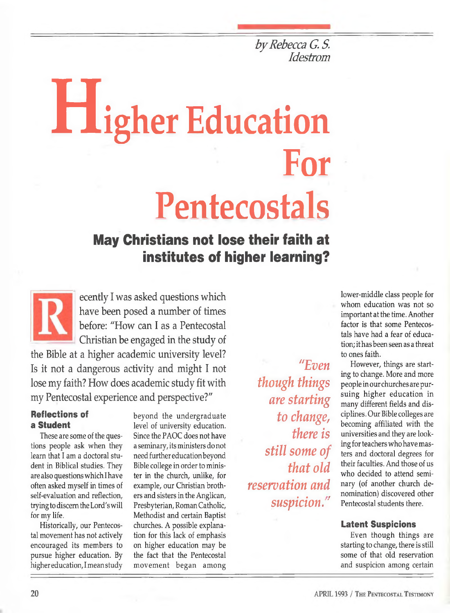*byRebecca G. S. Idestrom*

# **Higher Education For Pentecostals**

### **May Christians not lose their faith at institutes of higher learning?**

ecently I was asked questions which have been posed a number of times before: "How can I as a Pentecostal Christian be engaged in the study of the Bible at a higher academic university level? Is it not a dangerous activity and might I not

lose my faith? How does academic study fit with my Pentecostal experience and perspective?"

#### **Reflections of a Student**

These are some of the questions people ask when they learn that I am a doctoral student in Biblical studies. They are also questions whichIhave often asked myself in times of self-evaluation and reflection, trying to discern the Lord's will for my life.

Historically, our Pentecostal movement has not actively encouraged its members to pursue higher education. By higher education,Imeanstudy

beyond the undergraduate level of university education. Since the PAOC does not have a seminary, its ministers donot need further education beyond Bible college in order to minister in the church, unlike, for example, our Christian brothers and sisters in the Anglican, Presbyterian, Roman Catholic, Methodist and certain Baptist churches. A possible explanation for this lack of emphasis on higher education may be the fact that the Pentecostal movement began among

"Even *though things are starting to change, there is still some of that old reservation and suspicion."*

lower-middle class people for whom education was not so important at the time. Another factor is that some Pentecostals have had a fear of education; ithasbeen seen as a threat to ones faith.

However, things are starting to change. More and more people in our churches are pursuing higher education in many different fields and disciplines. Our Bible colleges are becoming affiliated with the universities and they are looking for teachers who have masters and doctoral degrees for their faculties. And those of us who decided to attend seminary (of another church denomination) discovered other Pentecostal students there.

#### **Latent Suspicions**

Even though things are starting to change, there is still some of that old reservation and suspicion among certain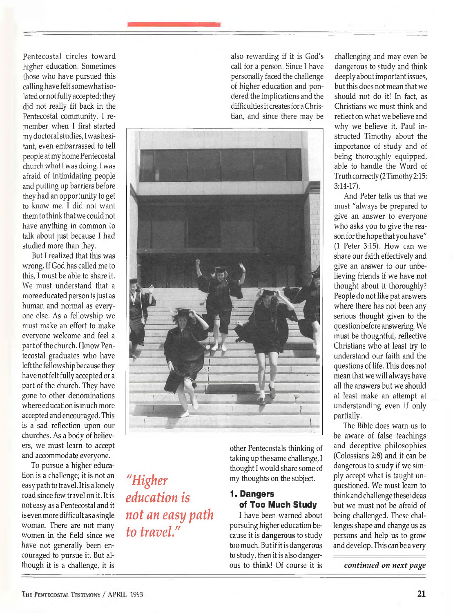Pentecostal circles toward higher education. Sometimes those who have pursued this callinghave felt somewhatisolated or not fully accepted; they did not really fit back in the Pentecostal community. I remember when I first started my doctoral studies,Iwas hesitant, even embarrassed to tell people at myhome Pentecostal churchwhatI was doing. I was afraid of intimidating people and putting up barriers before they had an opportunity to get to know me. I did not want themto think thatwe could not have anything in common to talk about just because I had studied more than they.

But I realized that this was wrong. If God has called me to this, I must be able to share it. We must understand that a more educated personis just as human and normal as everyone else. As a fellowship we must make an effort to make everyone welcome and feel a part of the church. I know Pentecostal graduates who have left the fellowship because they have not felt fully accepted or a part of the church. They have gone to other denominations where education is much more accepted and encouraged. This is a sad reflection upon our churches. As a body of believers, we must learn to accept and accommodate everyone.

To pursue a higher education is a challenge; it is not an easy path to travel. It is a lonely road since few travel on it. It is not easy as a Pentecostal and it is evenmore difficultas a single woman. There are not many women in the field since we have not generally been encouraged to pursue it. But although it is a challenge, it is

*"Higher education is not an easy path to travel."*

other Pentecostals thinking of taking up the same challenge, I thought I would share some of my thoughts on the subject.

also rewarding if it is God's call for a person. Since I have personally faced the challenge of higher education and pondered the implications and the difficulties it creates for a Christian, and since there may be

#### **1. Dangers of Too Much Study**

I have been warned about pursuing higher education because it is dangerous to study too much. Butifit is dangerous to study, then it is also dangerous to think! Of course it is

challenging and may even be dangerous to study and think deeplyaboutimportant issues, but this does not mean that we should not do it! In fact, as Christians we must think and reflect on what we believe and why we believe it. Paul instructed Timothy about the importance of study and of being thoroughly equipped, able to handle the Word of Truth correctly (2 Timothy 2:15; 3:14-17).

And Peter tells us that we must "always be prepared to give an answer to everyone who asks you to give the reason for the hope that you have" (1 Peter 3:15). How can we share our faith effectively and give an answer to our unbelieving friends if we have not thought about it thoroughly? People do not like pat answers where there has not been any serious thought given to the questionbefore answering.We must be thoughtful, reflective Christians who at least try to understand our faith and the questions of life. This does not mean that we will always have all the answers but we should at least make an attempt at understanding even if only partially.

The Bible does warn us to be aware of false teachings and deceptive philosophies (Colossians 2:8) and it can be dangerous to study if we simply accept what is taught unquestioned. We must learn to think and challenge these ideas but we must not be afraid of being challenged. These challenges shape and change us as persons and help us to grow and develop. This canbe a very

*continued on next page*